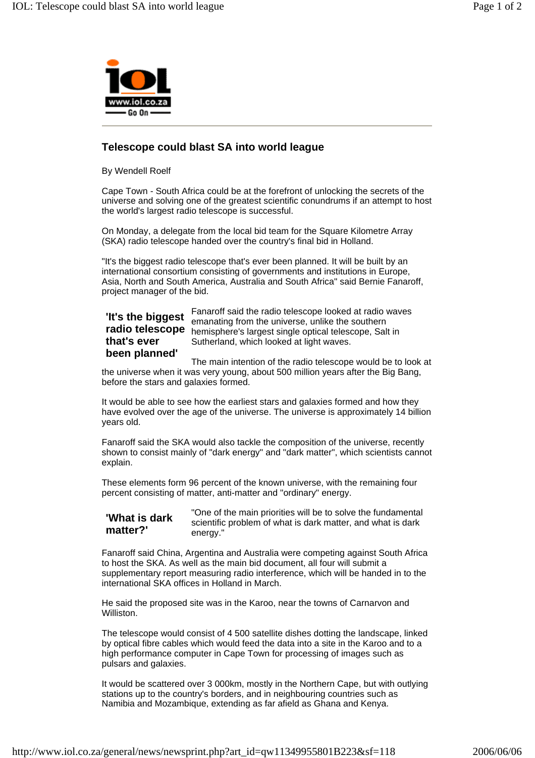

## **Telescope could blast SA into world league**

By Wendell Roelf

Cape Town - South Africa could be at the forefront of unlocking the secrets of the universe and solving one of the greatest scientific conundrums if an attempt to host the world's largest radio telescope is successful.

On Monday, a delegate from the local bid team for the Square Kilometre Array (SKA) radio telescope handed over the country's final bid in Holland.

"It's the biggest radio telescope that's ever been planned. It will be built by an international consortium consisting of governments and institutions in Europe, Asia, North and South America, Australia and South Africa" said Bernie Fanaroff, project manager of the bid.

## Fanaroff said the radio telescope looked at radio waves emanating from the universe, unlike the southern **radio telescope** hemisphere's largest single optical telescope, Salt in Sutherland, which looked at light waves. **'It's the biggest that's ever been planned'**

The main intention of the radio telescope would be to look at the universe when it was very young, about 500 million years after the Big Bang, before the stars and galaxies formed.

It would be able to see how the earliest stars and galaxies formed and how they have evolved over the age of the universe. The universe is approximately 14 billion years old.

Fanaroff said the SKA would also tackle the composition of the universe, recently shown to consist mainly of "dark energy" and "dark matter", which scientists cannot explain.

These elements form 96 percent of the known universe, with the remaining four percent consisting of matter, anti-matter and "ordinary" energy.

## **'What is dark matter?'**

"One of the main priorities will be to solve the fundamental scientific problem of what is dark matter, and what is dark energy."

Fanaroff said China, Argentina and Australia were competing against South Africa to host the SKA. As well as the main bid document, all four will submit a supplementary report measuring radio interference, which will be handed in to the international SKA offices in Holland in March.

He said the proposed site was in the Karoo, near the towns of Carnarvon and Williston.

The telescope would consist of 4 500 satellite dishes dotting the landscape, linked by optical fibre cables which would feed the data into a site in the Karoo and to a high performance computer in Cape Town for processing of images such as pulsars and galaxies.

It would be scattered over 3 000km, mostly in the Northern Cape, but with outlying stations up to the country's borders, and in neighbouring countries such as Namibia and Mozambique, extending as far afield as Ghana and Kenya.